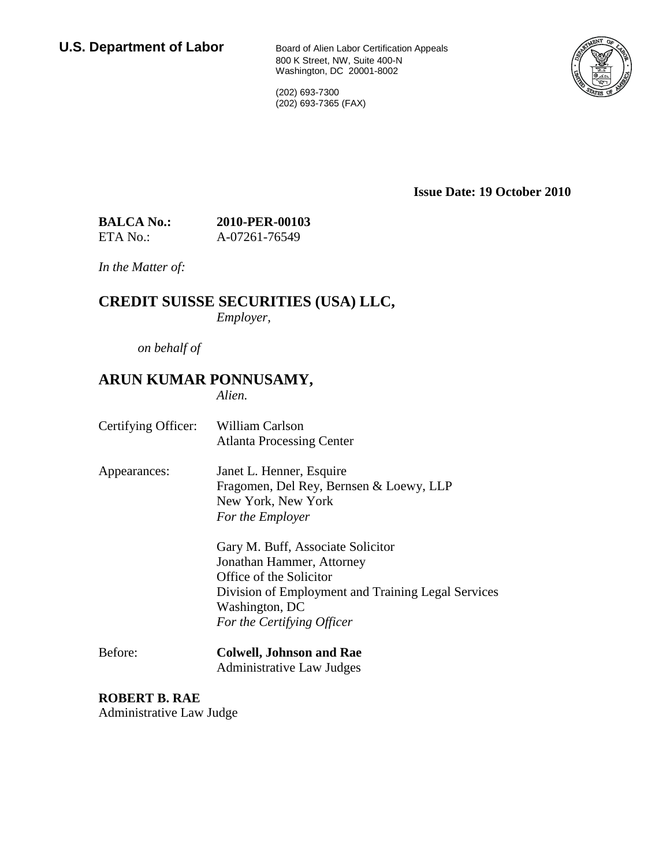800 K Street, NW, Suite 400-N Washington, DC 20001-8002

(202) 693-7300 (202) 693-7365 (FAX)



**Issue Date: 19 October 2010**

| <b>BALCA No.:</b> | 2010-PER-00103 |
|-------------------|----------------|
| ETA No.:          | A-07261-76549  |

*In the Matter of:*

### **CREDIT SUISSE SECURITIES (USA) LLC,**

*Employer,*

*on behalf of*

## **ARUN KUMAR PONNUSAMY,**

*Alien.*

- Certifying Officer: William Carlson Atlanta Processing Center
- Appearances: Janet L. Henner, Esquire Fragomen, Del Rey, Bernsen & Loewy, LLP New York, New York *For the Employer*

Gary M. Buff, Associate Solicitor Jonathan Hammer, Attorney Office of the Solicitor Division of Employment and Training Legal Services Washington, DC *For the Certifying Officer*

Before: **Colwell, Johnson and Rae** Administrative Law Judges

**ROBERT B. RAE** Administrative Law Judge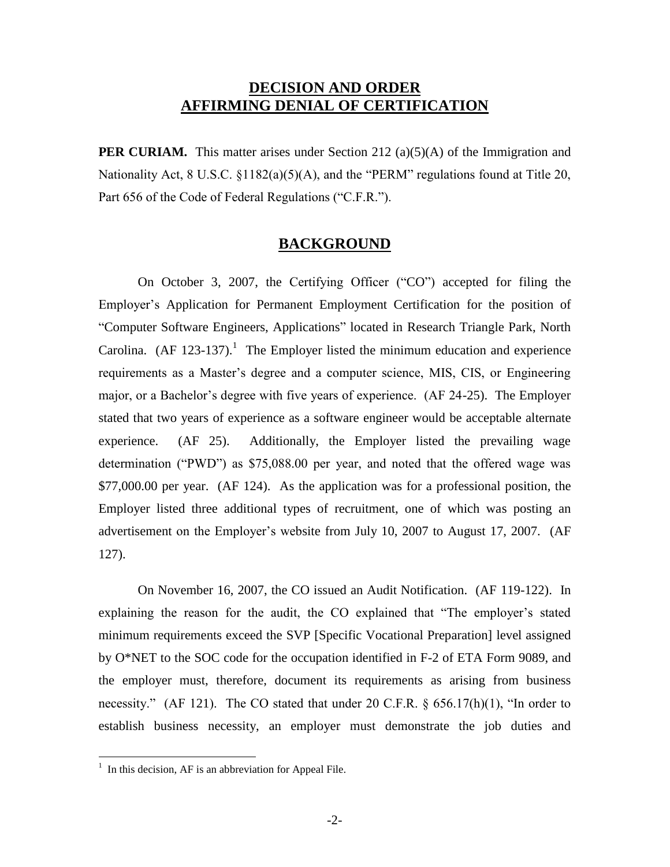## **DECISION AND ORDER AFFIRMING DENIAL OF CERTIFICATION**

**PER CURIAM.** This matter arises under Section 212 (a)(5)(A) of the Immigration and Nationality Act, 8 U.S.C. §1182(a)(5)(A), and the "PERM" regulations found at Title 20, Part 656 of the Code of Federal Regulations ("C.F.R.").

#### **BACKGROUND**

On October 3, 2007, the Certifying Officer ("CO") accepted for filing the Employer's Application for Permanent Employment Certification for the position of "Computer Software Engineers, Applications" located in Research Triangle Park, North Carolina.  $(AF 123-137).$ <sup>1</sup> The Employer listed the minimum education and experience requirements as a Master's degree and a computer science, MIS, CIS, or Engineering major, or a Bachelor's degree with five years of experience. (AF 24-25). The Employer stated that two years of experience as a software engineer would be acceptable alternate experience. (AF 25). Additionally, the Employer listed the prevailing wage determination ("PWD") as \$75,088.00 per year, and noted that the offered wage was \$77,000.00 per year. (AF 124). As the application was for a professional position, the Employer listed three additional types of recruitment, one of which was posting an advertisement on the Employer's website from July 10, 2007 to August 17, 2007. (AF 127).

On November 16, 2007, the CO issued an Audit Notification. (AF 119-122). In explaining the reason for the audit, the CO explained that "The employer's stated minimum requirements exceed the SVP [Specific Vocational Preparation] level assigned by O\*NET to the SOC code for the occupation identified in F-2 of ETA Form 9089, and the employer must, therefore, document its requirements as arising from business necessity." (AF 121). The CO stated that under 20 C.F.R. § 656.17(h)(1), "In order to establish business necessity, an employer must demonstrate the job duties and

 $<sup>1</sup>$  In this decision, AF is an abbreviation for Appeal File.</sup>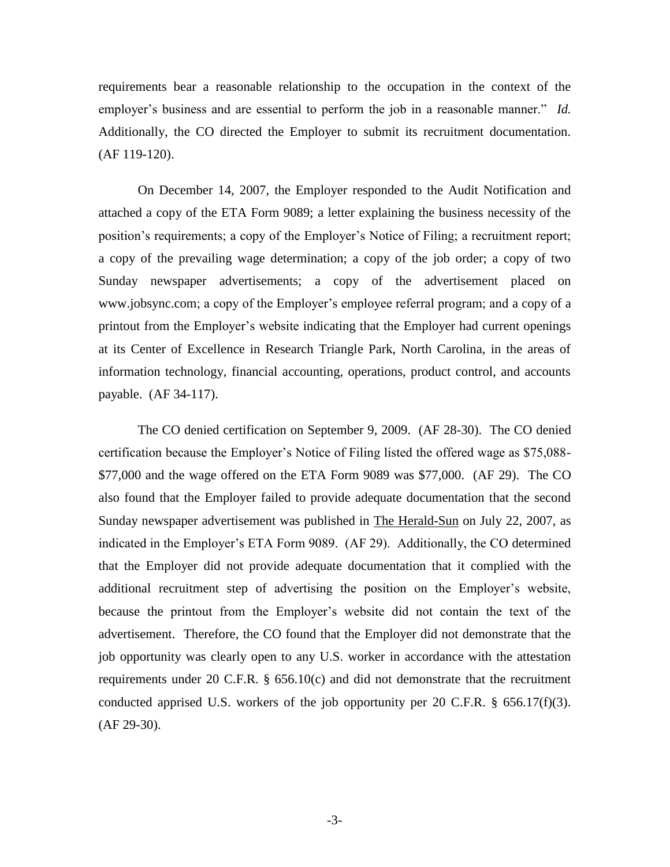requirements bear a reasonable relationship to the occupation in the context of the employer's business and are essential to perform the job in a reasonable manner." *Id.* Additionally, the CO directed the Employer to submit its recruitment documentation. (AF 119-120).

On December 14, 2007, the Employer responded to the Audit Notification and attached a copy of the ETA Form 9089; a letter explaining the business necessity of the position's requirements; a copy of the Employer's Notice of Filing; a recruitment report; a copy of the prevailing wage determination; a copy of the job order; a copy of two Sunday newspaper advertisements; a copy of the advertisement placed on www.jobsync.com; a copy of the Employer's employee referral program; and a copy of a printout from the Employer's website indicating that the Employer had current openings at its Center of Excellence in Research Triangle Park, North Carolina, in the areas of information technology, financial accounting, operations, product control, and accounts payable. (AF 34-117).

The CO denied certification on September 9, 2009. (AF 28-30). The CO denied certification because the Employer's Notice of Filing listed the offered wage as \$75,088- \$77,000 and the wage offered on the ETA Form 9089 was \$77,000. (AF 29). The CO also found that the Employer failed to provide adequate documentation that the second Sunday newspaper advertisement was published in The Herald-Sun on July 22, 2007, as indicated in the Employer's ETA Form 9089. (AF 29). Additionally, the CO determined that the Employer did not provide adequate documentation that it complied with the additional recruitment step of advertising the position on the Employer's website, because the printout from the Employer's website did not contain the text of the advertisement. Therefore, the CO found that the Employer did not demonstrate that the job opportunity was clearly open to any U.S. worker in accordance with the attestation requirements under 20 C.F.R.  $\S$  656.10(c) and did not demonstrate that the recruitment conducted apprised U.S. workers of the job opportunity per 20 C.F.R. § 656.17(f)(3). (AF 29-30).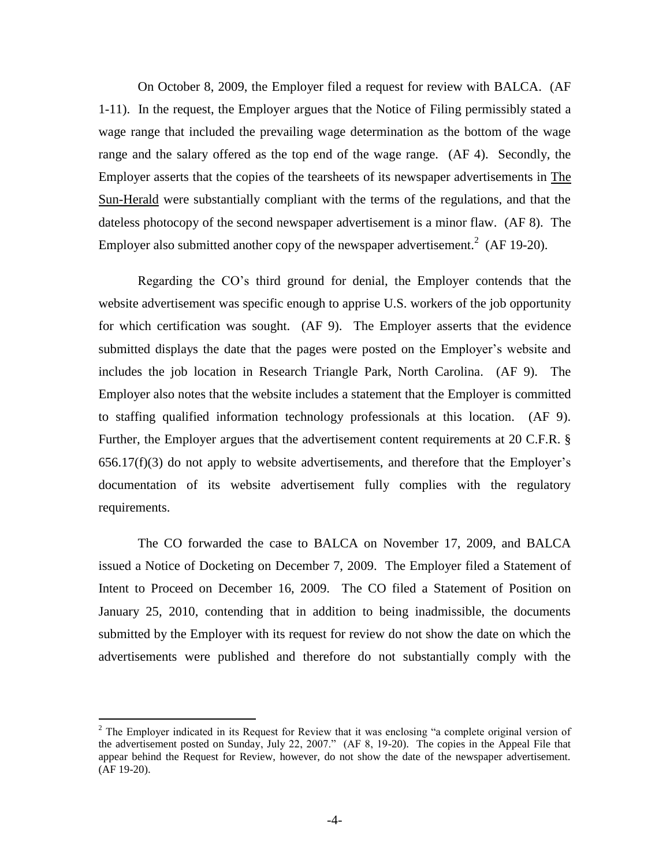On October 8, 2009, the Employer filed a request for review with BALCA. (AF 1-11). In the request, the Employer argues that the Notice of Filing permissibly stated a wage range that included the prevailing wage determination as the bottom of the wage range and the salary offered as the top end of the wage range. (AF 4). Secondly, the Employer asserts that the copies of the tearsheets of its newspaper advertisements in The Sun-Herald were substantially compliant with the terms of the regulations, and that the dateless photocopy of the second newspaper advertisement is a minor flaw. (AF 8). The Employer also submitted another copy of the newspaper advertisement.<sup>2</sup> (AF 19-20).

Regarding the CO's third ground for denial, the Employer contends that the website advertisement was specific enough to apprise U.S. workers of the job opportunity for which certification was sought. (AF 9). The Employer asserts that the evidence submitted displays the date that the pages were posted on the Employer's website and includes the job location in Research Triangle Park, North Carolina. (AF 9). The Employer also notes that the website includes a statement that the Employer is committed to staffing qualified information technology professionals at this location. (AF 9). Further, the Employer argues that the advertisement content requirements at 20 C.F.R. § 656.17(f)(3) do not apply to website advertisements, and therefore that the Employer's documentation of its website advertisement fully complies with the regulatory requirements.

The CO forwarded the case to BALCA on November 17, 2009, and BALCA issued a Notice of Docketing on December 7, 2009. The Employer filed a Statement of Intent to Proceed on December 16, 2009. The CO filed a Statement of Position on January 25, 2010, contending that in addition to being inadmissible, the documents submitted by the Employer with its request for review do not show the date on which the advertisements were published and therefore do not substantially comply with the

 $2$  The Employer indicated in its Request for Review that it was enclosing "a complete original version of the advertisement posted on Sunday, July 22, 2007." (AF 8, 19-20). The copies in the Appeal File that appear behind the Request for Review, however, do not show the date of the newspaper advertisement. (AF 19-20).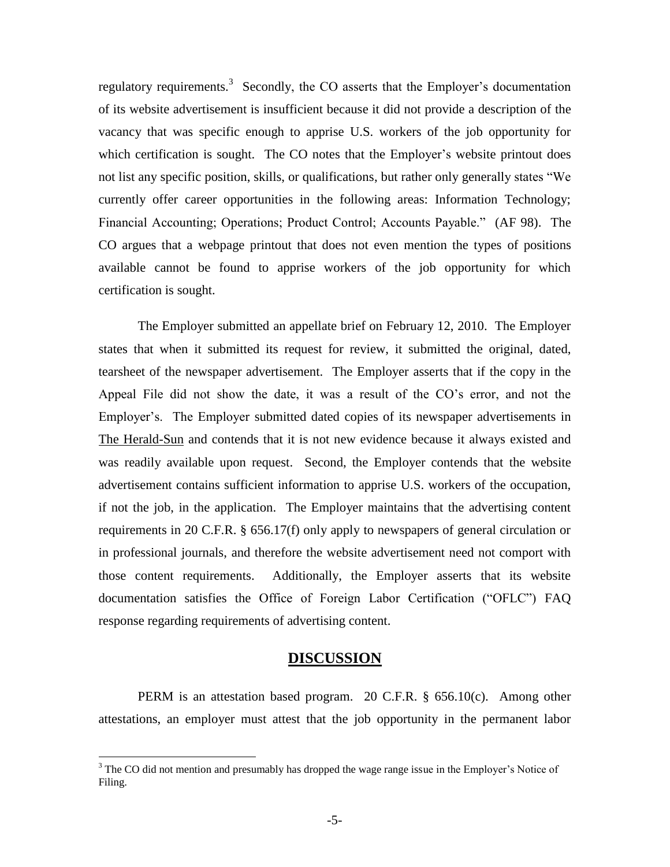regulatory requirements.<sup>3</sup> Secondly, the CO asserts that the Employer's documentation of its website advertisement is insufficient because it did not provide a description of the vacancy that was specific enough to apprise U.S. workers of the job opportunity for which certification is sought. The CO notes that the Employer's website printout does not list any specific position, skills, or qualifications, but rather only generally states "We currently offer career opportunities in the following areas: Information Technology; Financial Accounting; Operations; Product Control; Accounts Payable." (AF 98). The CO argues that a webpage printout that does not even mention the types of positions available cannot be found to apprise workers of the job opportunity for which certification is sought.

The Employer submitted an appellate brief on February 12, 2010. The Employer states that when it submitted its request for review, it submitted the original, dated, tearsheet of the newspaper advertisement. The Employer asserts that if the copy in the Appeal File did not show the date, it was a result of the CO's error, and not the Employer's. The Employer submitted dated copies of its newspaper advertisements in The Herald-Sun and contends that it is not new evidence because it always existed and was readily available upon request. Second, the Employer contends that the website advertisement contains sufficient information to apprise U.S. workers of the occupation, if not the job, in the application. The Employer maintains that the advertising content requirements in 20 C.F.R. § 656.17(f) only apply to newspapers of general circulation or in professional journals, and therefore the website advertisement need not comport with those content requirements. Additionally, the Employer asserts that its website documentation satisfies the Office of Foreign Labor Certification ("OFLC") FAQ response regarding requirements of advertising content.

#### **DISCUSSION**

PERM is an attestation based program. 20 C.F.R. § 656.10(c). Among other attestations, an employer must attest that the job opportunity in the permanent labor

 $3$  The CO did not mention and presumably has dropped the wage range issue in the Employer's Notice of Filing.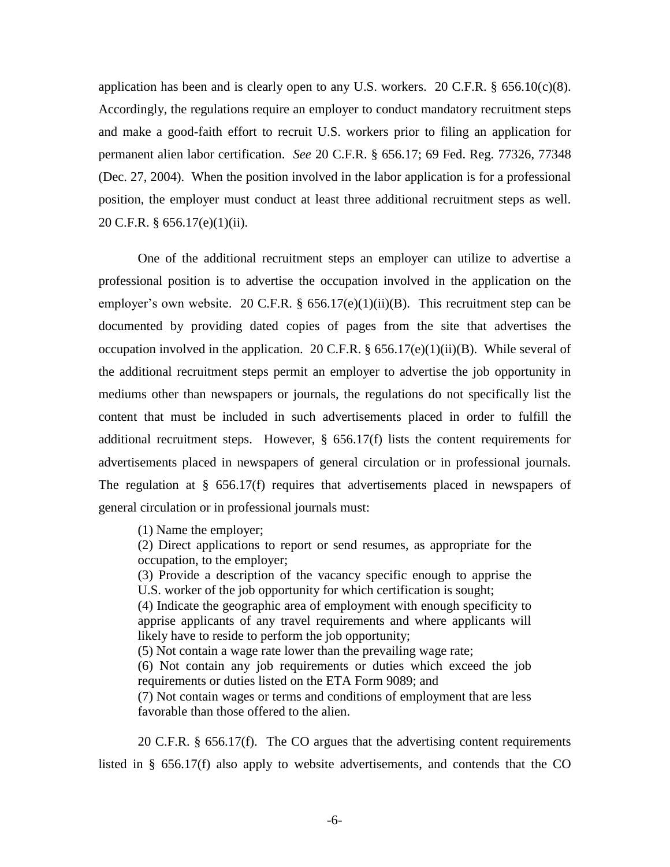application has been and is clearly open to any U.S. workers. 20 C.F.R.  $\S$  656.10(c)(8). Accordingly, the regulations require an employer to conduct mandatory recruitment steps and make a good-faith effort to recruit U.S. workers prior to filing an application for permanent alien labor certification. *See* 20 C.F.R. § 656.17; 69 Fed. Reg. 77326, 77348 (Dec. 27, 2004). When the position involved in the labor application is for a professional position, the employer must conduct at least three additional recruitment steps as well. 20 C.F.R. § 656.17(e)(1)(ii).

One of the additional recruitment steps an employer can utilize to advertise a professional position is to advertise the occupation involved in the application on the employer's own website. 20 C.F.R.  $\S$  656.17(e)(1)(ii)(B). This recruitment step can be documented by providing dated copies of pages from the site that advertises the occupation involved in the application. 20 C.F.R.  $\S$  656.17(e)(1)(ii)(B). While several of the additional recruitment steps permit an employer to advertise the job opportunity in mediums other than newspapers or journals, the regulations do not specifically list the content that must be included in such advertisements placed in order to fulfill the additional recruitment steps. However,  $\S$  656.17(f) lists the content requirements for advertisements placed in newspapers of general circulation or in professional journals. The regulation at § 656.17(f) requires that advertisements placed in newspapers of general circulation or in professional journals must:

(1) Name the employer;

(2) Direct applications to report or send resumes, as appropriate for the occupation, to the employer;

(3) Provide a description of the vacancy specific enough to apprise the U.S. worker of the job opportunity for which certification is sought;

(4) Indicate the geographic area of employment with enough specificity to apprise applicants of any travel requirements and where applicants will likely have to reside to perform the job opportunity;

(5) Not contain a wage rate lower than the prevailing wage rate;

(6) Not contain any job requirements or duties which exceed the job requirements or duties listed on the ETA Form 9089; and

(7) Not contain wages or terms and conditions of employment that are less favorable than those offered to the alien.

20 C.F.R. § 656.17(f). The CO argues that the advertising content requirements listed in § 656.17(f) also apply to website advertisements, and contends that the CO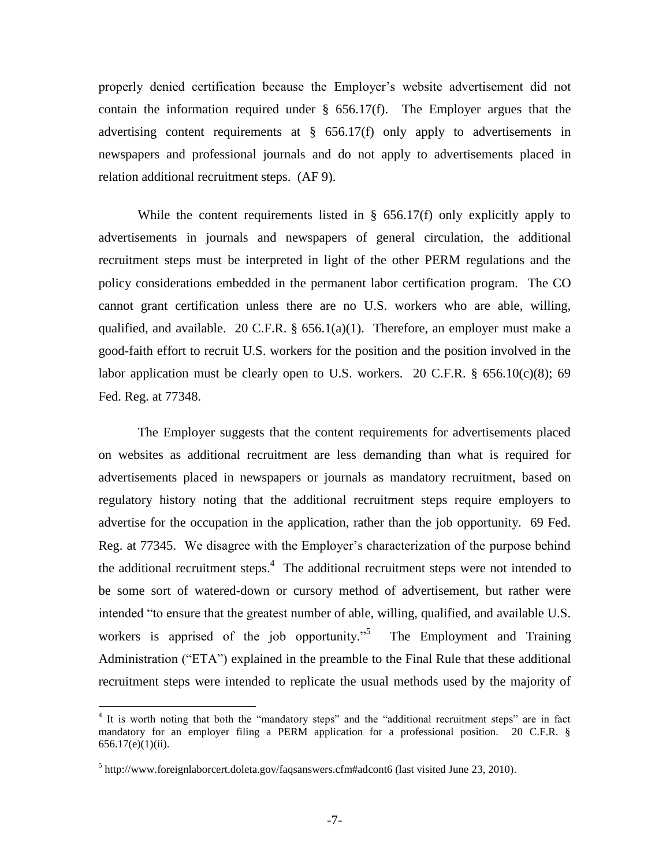properly denied certification because the Employer's website advertisement did not contain the information required under  $\S$  656.17(f). The Employer argues that the advertising content requirements at § 656.17(f) only apply to advertisements in newspapers and professional journals and do not apply to advertisements placed in relation additional recruitment steps. (AF 9).

While the content requirements listed in  $\S$  656.17(f) only explicitly apply to advertisements in journals and newspapers of general circulation, the additional recruitment steps must be interpreted in light of the other PERM regulations and the policy considerations embedded in the permanent labor certification program. The CO cannot grant certification unless there are no U.S. workers who are able, willing, qualified, and available. 20 C.F.R.  $\S$  656.1(a)(1). Therefore, an employer must make a good-faith effort to recruit U.S. workers for the position and the position involved in the labor application must be clearly open to U.S. workers. 20 C.F.R.  $\S$  656.10(c)(8); 69 Fed. Reg. at 77348.

The Employer suggests that the content requirements for advertisements placed on websites as additional recruitment are less demanding than what is required for advertisements placed in newspapers or journals as mandatory recruitment, based on regulatory history noting that the additional recruitment steps require employers to advertise for the occupation in the application, rather than the job opportunity. 69 Fed. Reg. at 77345. We disagree with the Employer's characterization of the purpose behind the additional recruitment steps.<sup>4</sup> The additional recruitment steps were not intended to be some sort of watered-down or cursory method of advertisement, but rather were intended "to ensure that the greatest number of able, willing, qualified, and available U.S. workers is apprised of the job opportunity."<sup>5</sup> The Employment and Training Administration ("ETA") explained in the preamble to the Final Rule that these additional recruitment steps were intended to replicate the usual methods used by the majority of

<sup>&</sup>lt;sup>4</sup> It is worth noting that both the "mandatory steps" and the "additional recruitment steps" are in fact mandatory for an employer filing a PERM application for a professional position. 20 C.F.R. §  $656.17(e)(1)(ii)$ .

 $5$  http://www.foreignlaborcert.doleta.gov/faqsanswers.cfm#adcont6 (last visited June 23, 2010).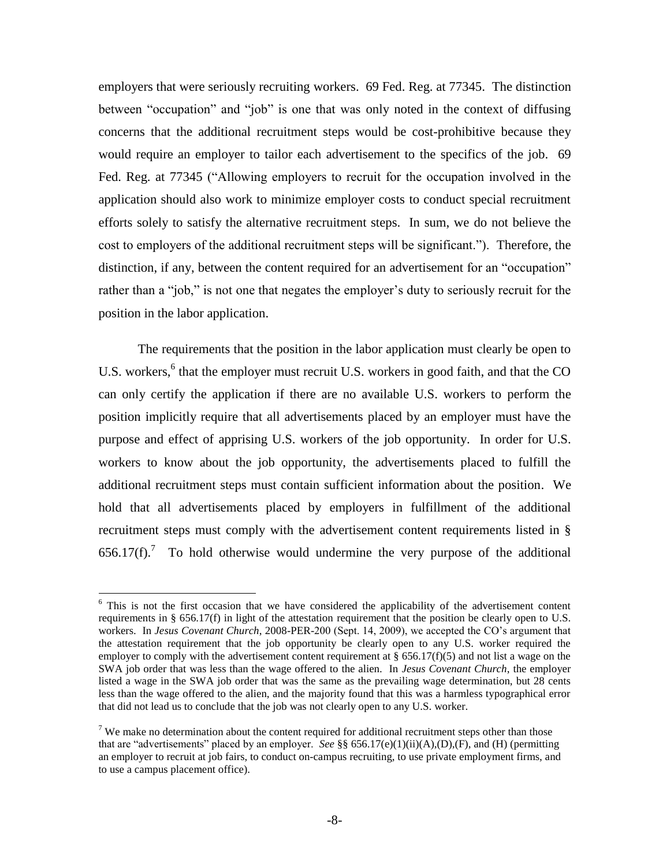employers that were seriously recruiting workers. 69 Fed. Reg. at 77345. The distinction between "occupation" and "job" is one that was only noted in the context of diffusing concerns that the additional recruitment steps would be cost-prohibitive because they would require an employer to tailor each advertisement to the specifics of the job. 69 Fed. Reg. at 77345 ("Allowing employers to recruit for the occupation involved in the application should also work to minimize employer costs to conduct special recruitment efforts solely to satisfy the alternative recruitment steps. In sum, we do not believe the cost to employers of the additional recruitment steps will be significant."). Therefore, the distinction, if any, between the content required for an advertisement for an "occupation" rather than a "job," is not one that negates the employer's duty to seriously recruit for the position in the labor application.

The requirements that the position in the labor application must clearly be open to U.S. workers,<sup>6</sup> that the employer must recruit U.S. workers in good faith, and that the CO can only certify the application if there are no available U.S. workers to perform the position implicitly require that all advertisements placed by an employer must have the purpose and effect of apprising U.S. workers of the job opportunity. In order for U.S. workers to know about the job opportunity, the advertisements placed to fulfill the additional recruitment steps must contain sufficient information about the position. We hold that all advertisements placed by employers in fulfillment of the additional recruitment steps must comply with the advertisement content requirements listed in §  $656.17(f)$ .<sup>7</sup> To hold otherwise would undermine the very purpose of the additional

 $6$  This is not the first occasion that we have considered the applicability of the advertisement content requirements in § 656.17(f) in light of the attestation requirement that the position be clearly open to U.S. workers. In *Jesus Covenant Church*, 2008-PER-200 (Sept. 14, 2009), we accepted the CO's argument that the attestation requirement that the job opportunity be clearly open to any U.S. worker required the employer to comply with the advertisement content requirement at  $\S 656.17(f)(5)$  and not list a wage on the SWA job order that was less than the wage offered to the alien. In *Jesus Covenant Church*, the employer listed a wage in the SWA job order that was the same as the prevailing wage determination, but 28 cents less than the wage offered to the alien, and the majority found that this was a harmless typographical error that did not lead us to conclude that the job was not clearly open to any U.S. worker.

 $<sup>7</sup>$  We make no determination about the content required for additional recruitment steps other than those</sup> that are "advertisements" placed by an employer. *See* §§ 656.17(e)(1)(ii)(A),(D),(F), and (H) (permitting an employer to recruit at job fairs, to conduct on-campus recruiting, to use private employment firms, and to use a campus placement office).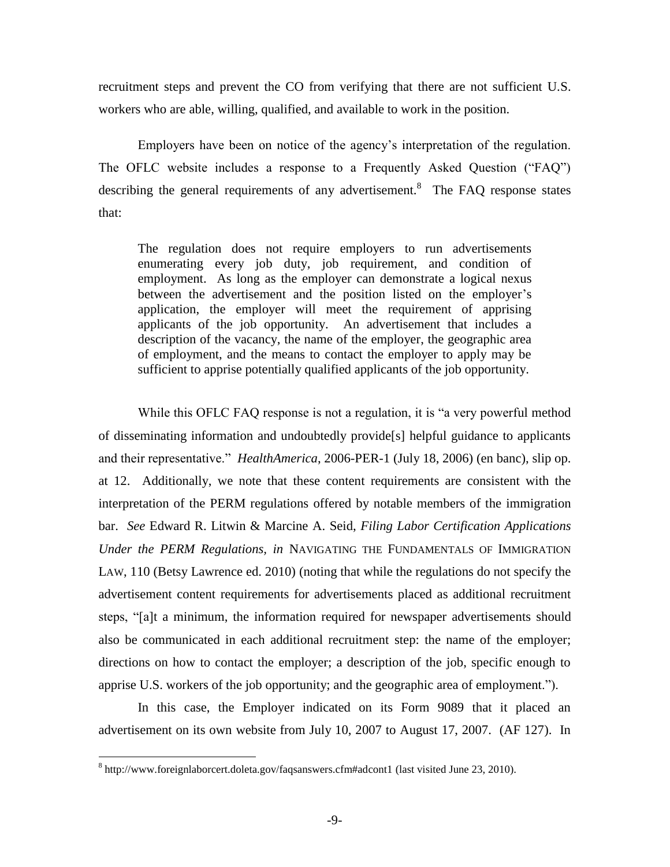recruitment steps and prevent the CO from verifying that there are not sufficient U.S. workers who are able, willing, qualified, and available to work in the position.

Employers have been on notice of the agency's interpretation of the regulation. The OFLC website includes a response to a Frequently Asked Question ("FAQ") describing the general requirements of any advertisement. $8$  The FAQ response states that:

The regulation does not require employers to run advertisements enumerating every job duty, job requirement, and condition of employment. As long as the employer can demonstrate a logical nexus between the advertisement and the position listed on the employer's application, the employer will meet the requirement of apprising applicants of the job opportunity. An advertisement that includes a description of the vacancy, the name of the employer, the geographic area of employment, and the means to contact the employer to apply may be sufficient to apprise potentially qualified applicants of the job opportunity.

While this OFLC FAQ response is not a regulation, it is "a very powerful method of disseminating information and undoubtedly provide[s] helpful guidance to applicants and their representative." *HealthAmerica*, 2006-PER-1 (July 18, 2006) (en banc), slip op. at 12. Additionally, we note that these content requirements are consistent with the interpretation of the PERM regulations offered by notable members of the immigration bar. *See* Edward R. Litwin & Marcine A. Seid, *Filing Labor Certification Applications Under the PERM Regulations, in* NAVIGATING THE FUNDAMENTALS OF IMMIGRATION LAW, 110 (Betsy Lawrence ed. 2010) (noting that while the regulations do not specify the advertisement content requirements for advertisements placed as additional recruitment steps, "[a]t a minimum, the information required for newspaper advertisements should also be communicated in each additional recruitment step: the name of the employer; directions on how to contact the employer; a description of the job, specific enough to apprise U.S. workers of the job opportunity; and the geographic area of employment.").

In this case, the Employer indicated on its Form 9089 that it placed an advertisement on its own website from July 10, 2007 to August 17, 2007. (AF 127). In

 $8$  http://www.foreignlaborcert.doleta.gov/faqsanswers.cfm#adcont1 (last visited June 23, 2010).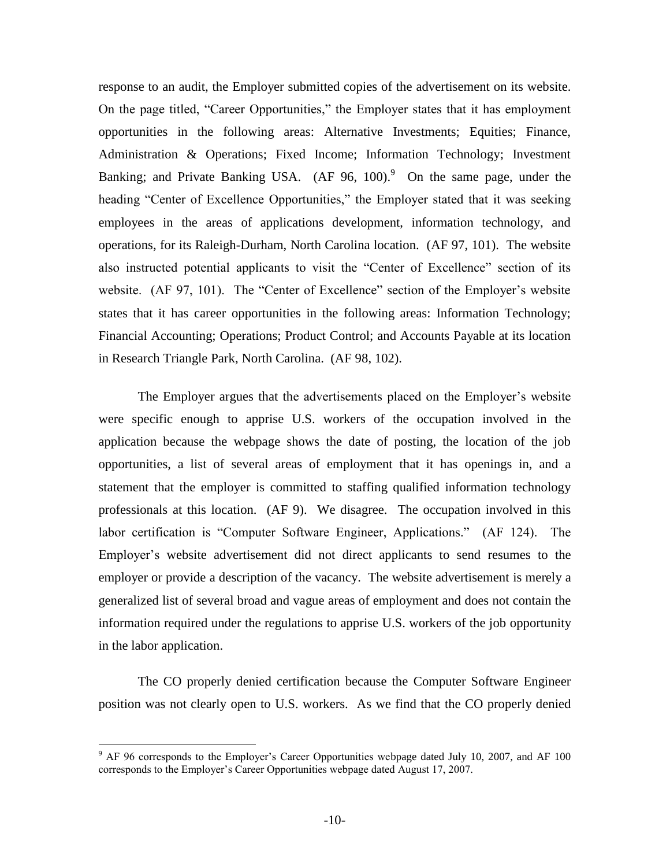response to an audit, the Employer submitted copies of the advertisement on its website. On the page titled, "Career Opportunities," the Employer states that it has employment opportunities in the following areas: Alternative Investments; Equities; Finance, Administration & Operations; Fixed Income; Information Technology; Investment Banking; and Private Banking USA.  $(AF 96, 100)^9$  On the same page, under the heading "Center of Excellence Opportunities," the Employer stated that it was seeking employees in the areas of applications development, information technology, and operations, for its Raleigh-Durham, North Carolina location. (AF 97, 101). The website also instructed potential applicants to visit the "Center of Excellence" section of its website. (AF 97, 101). The "Center of Excellence" section of the Employer's website states that it has career opportunities in the following areas: Information Technology; Financial Accounting; Operations; Product Control; and Accounts Payable at its location in Research Triangle Park, North Carolina. (AF 98, 102).

The Employer argues that the advertisements placed on the Employer's website were specific enough to apprise U.S. workers of the occupation involved in the application because the webpage shows the date of posting, the location of the job opportunities, a list of several areas of employment that it has openings in, and a statement that the employer is committed to staffing qualified information technology professionals at this location. (AF 9). We disagree. The occupation involved in this labor certification is "Computer Software Engineer, Applications." (AF 124). The Employer's website advertisement did not direct applicants to send resumes to the employer or provide a description of the vacancy. The website advertisement is merely a generalized list of several broad and vague areas of employment and does not contain the information required under the regulations to apprise U.S. workers of the job opportunity in the labor application.

The CO properly denied certification because the Computer Software Engineer position was not clearly open to U.S. workers. As we find that the CO properly denied

<sup>&</sup>lt;sup>9</sup> AF 96 corresponds to the Employer's Career Opportunities webpage dated July 10, 2007, and AF 100 corresponds to the Employer's Career Opportunities webpage dated August 17, 2007.